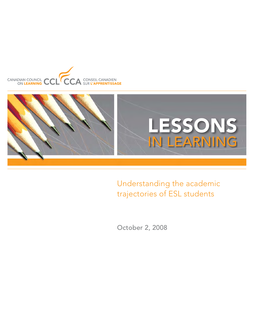



Understanding the academic trajectories of ESL students

October 2, 2008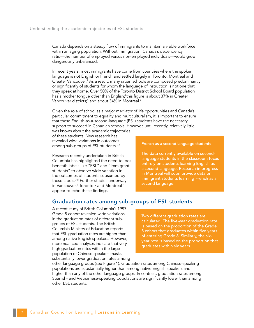Canada depends on a steady flow of immigrants to maintain a viable workforce within an aging population. Without immigration, Canada's dependency ratio—the number of employed versus non-employed individuals—would grow dangerously unbalanced.

In recent years, most immigrants have come from countries where the spoken language is not English or French and settled largely in Toronto, Montreal and Greater Vancouver.<sup>1</sup> As a result, many urban schools are composed predominantly or significantly of students for whom the language of instruction is not one that they speak at home. Over 50% of the Toronto District School Board population has a mother tongue other than English;<sup>2</sup>this figure is about 37% in Greater Vancouver districts;<sup>3</sup> and about 34% in Montreal.<sup>4</sup>

Given the role of school as a major mediator of life opportunities and Canada's particular commitment to equality and multiculturalism, it is important to ensure that these English-as-a-second-language (ESL) students have the necessary support to succeed in Canadian schools. However, until recently, relatively little

was known about the academic trajectories of these students. New research has revealed wide variations in outcomes among sub-groups of ESL students.<sup>5,6</sup>

Research recently undertaken in British Columbia has highlighted the need to look beneath labels like "ESL" and "immigrant students" to observe wide variation in the outcomes of students subsumed by these labels.7,8 Further studies underway in Vancouver,<sup>9</sup> Toronto<sup>10</sup> and Montreal<sup>11</sup> appear to echo these findings.

### French-as-a-second-language students

The data currently available on secondlanguage students in the classroom focus entirely on students learning English as a second language. Research in progress in Montreal will soon provide data on immigrant students learning French as a second language.

# Graduation rates among sub-groups of ESL students

A recent study of British Columbia's 1997 Grade 8 cohort revealed wide variations in the graduation rates of different subgroups of ESL students. The British Columbia Ministry of Education reports that ESL graduation rates are higher than among native English speakers. However, more nuanced analyses indicate that very high graduation rates within the large population of Chinese speakers masks substantially lower graduation rates among

Two different graduation rates are calculated. The five-year graduation rate is based on the proportion of the Grade 8 cohort that graduates within five years of entering Grade 8. Similarly, the sixyear rate is based on the proportion that graduates within six years.

other language groups (see Figure 1). Graduation rates among Chinese-speaking populations are substantially higher than among native English speakers and higher than any of the other language groups. In contrast, graduation rates among Spanish- and Vietnamese-speaking populations are significantly lower than among other ESL students.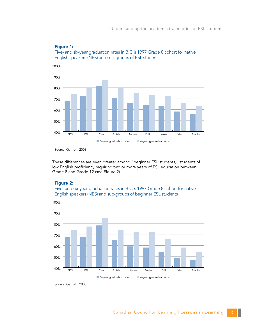

### Figure 1: Five- and six-year graduation rates in B.C.'s 1997 Grade 8 cohort for native English speakers (NES) and sub-groups of ESL students.

Source: Garnett, 2008

These differences are even greater among "beginner ESL students," students of low English proficiency requiring two or more years of ESL education between Grade 8 and Grade 12 (see Figure 2).

# Figure 2:





Source: Garnett, 2008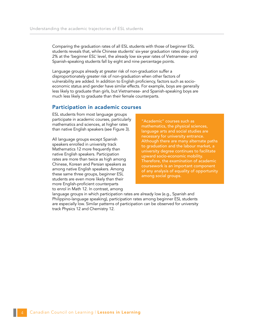Comparing the graduation rates of all ESL students with those of beginner ESL students reveals that, while Chinese students' six-year graduation rates drop only 2% at the 'beginner ESL' level, the already low six-year rates of Vietnamese- and Spanish-speaking students fall by eight and nine percentage points.

Language groups already at greater risk of non-graduation suffer a disproportionately greater risk of non-graduation when other factors of vulnerability are added. In addition to English proficiency, factors such as socioeconomic status and gender have similar effects. For example, boys are generally less likely to graduate than girls, but Vietnamese- and Spanish-speaking boys are much less likely to graduate than their female counterparts.

### Participation in academic courses

ESL students from most language groups participate in academic courses, particularly mathematics and sciences, at higher rates than native English speakers (see Figure 3).

All language groups except Spanish speakers enrolled in university track Mathematics 12 more frequently than native English speakers. Participation rates are more than twice as high among Chinese, Korean and Persian speakers as among native English speakers. Among these same three groups, beginner ESL students are even more likely than their more English-proficient counterparts to enrol in Math 12. In contrast, among

"Academic" courses such as mathematics, the physical sciences, language arts and social studies are necessary for university entrance. Although there are many alternate paths to graduation and the labour market, a university degree continues to facilitate upward socio-economic mobility. Therefore, the examination of academic coursework is an important component of any analysis of equality of opportunity among social groups.

language groups in which participation rates are already low (e.g., Spanish and Philippino-language speaking), participation rates among beginner ESL students are especially low. Similar patterns of participation can be observed for university track Physics 12 and Chemistry 12.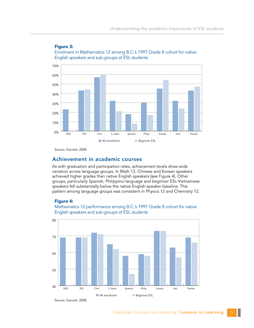

### Figure 3: Enrolment in Mathematics 12 among B.C.'s 1997 Grade 8 cohort for native English speakers and sub-groups of ESL students

Source: Garnett, 2008

# Achievement in academic courses

As with graduation and participation rates, achievement levels show wide variation across language groups. In Math 12, Chinese and Korean speakers achieved higher grades than native English speakers (see Figure 4). Other groups, particularly Spanish, Philippino-language and beginner ESL-Vietnamese speakers fell substantially below the native English-speaker baseline. This pattern among language groups was consistent in Physics 12 and Chemistry 12.

#### Figure 4:

Mathematics 12 performance among B.C.'s 1997 Grade 8 cohort for native English speakers and sub-groups of ESL students



Source: Garnett, 2008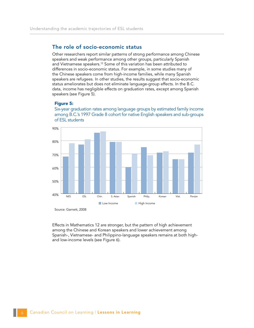# The role of socio-economic status

Other researchers report similar patterns of strong performance among Chinese speakers and weak performance among other groups, particularly Spanish and Vietnamese speakers.<sup>12</sup> Some of this variation has been attributed to differences in socio-economic status. For example, in some studies many of the Chinese speakers come from high-income families, while many Spanish speakers are refugees. In other studies, the results suggest that socio-economic status ameliorates but does not eliminate language-group effects. In the B.C. data, income has negligible effects on graduation rates, except among Spanish speakers (see Figure 5).

#### Figure 5:

Six-year graduation rates among language groups by estimated family income among B.C.'s 1997 Grade 8 cohort for native English speakers and sub-groups of ESL students



Source: Garnett, 2008

Effects in Mathematics 12 are stronger, but the pattern of high achievement among the Chinese and Korean speakers and lower achievement among Spanish-, Vietnamese- and Philippino-language speakers remains at both highand low-income levels (see Figure 6).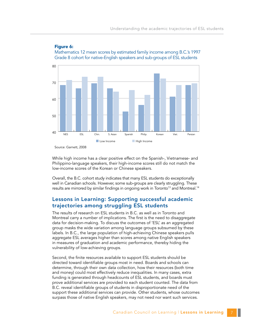

### Figure 6:

Mathematics 12 mean scores by estimated family income among B.C.'s 1997 Grade 8 cohort for native-English speakers and sub-groups of ESL students

Source: Garnett, 2008

While high income has a clear positive effect on the Spanish-, Vietnamese- and Philippino-language speakers, their high-income scores still do not match the low-income scores of the Korean or Chinese speakers.

Overall, the B.C. cohort study indicates that many ESL students do exceptionally well in Canadian schools. However, some sub-groups are clearly struggling. These results are mirrored by similar findings in ongoing work in Toronto<sup>13</sup> and Montreal.<sup>14</sup>

# Lessons in Learning: Supporting successful academic trajectories among struggling ESL students

The results of research on ESL students in B.C. as well as in Toronto and Montreal carry a number of implications. The first is the need to disaggregate data for decision-making. To discuss the outcomes of 'ESL' as an aggregated group masks the wide variation among language groups subsumed by these labels. In B.C., the large population of high-achieving Chinese speakers pulls aggregate ESL averages higher than scores among native English speakers in measures of graduation and academic performance, thereby hiding the vulnerability of low-achieving groups.

Second, the finite resources available to support ESL students should be directed toward identifiable groups most in need. Boards and schools can determine, through their own data collection, how their resources (both time and money) could most effectively reduce inequalities. In many cases, extra funding is generated through headcounts of ESL students, and boards must prove additional services are provided to each student counted. The data from B.C. reveal identifiable groups of students in disproportionate need of the support these additional services can provide. Other students, whose outcomes surpass those of native English speakers, may not need nor want such services.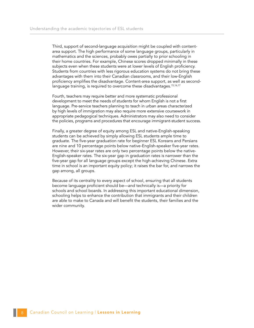Third, support of second-language acquisition might be coupled with contentarea support. The high performance of some language groups, particularly in mathematics and the sciences, probably owes partially to prior schooling in their home countries. For example, Chinese scores dropped minimally in these subjects even when these students were at lower levels of English proficiency. Students from countries with less rigorous education systems do not bring these advantages with them into their Canadian classrooms, and their low-English proficiency amplifies the disadvantage. Content-area support, as well as secondlanguage training, is required to overcome these disadvantages.<sup>15,16,17</sup>

Fourth, teachers may require better and more systematic professional development to meet the needs of students for whom English is not a first language. Pre-service teachers planning to teach in urban areas characterized by high levels of immigration may also require more extensive coursework in appropriate pedagogical techniques. Administrators may also need to consider the policies, programs and procedures that encourage immigrant-student success.

Finally, a greater degree of equity among ESL and native-English-speaking students can be achieved by simply allowing ESL students ample time to graduate. The five-year graduation rate for beginner ESL Koreans and Persians are nine and 10 percentage points below native-English-speaker five-year rates. However, their six-year rates are only two percentage points below the native-English-speaker rates. The six-year gap in graduation rates is narrower than the five-year gap for all language groups except the high-achieving Chinese. Extra time in school is an important equity policy; it raises the bar for, and narrows the gap among, all groups.

Because of its centrality to every aspect of school, ensuring that all students become language proficient should be—and technically is—a priority for schools and school boards. In addressing this important educational dimension, schooling helps to enhance the contribution that immigrants and their children are able to make to Canada and will benefit the students, their families and the wider community.